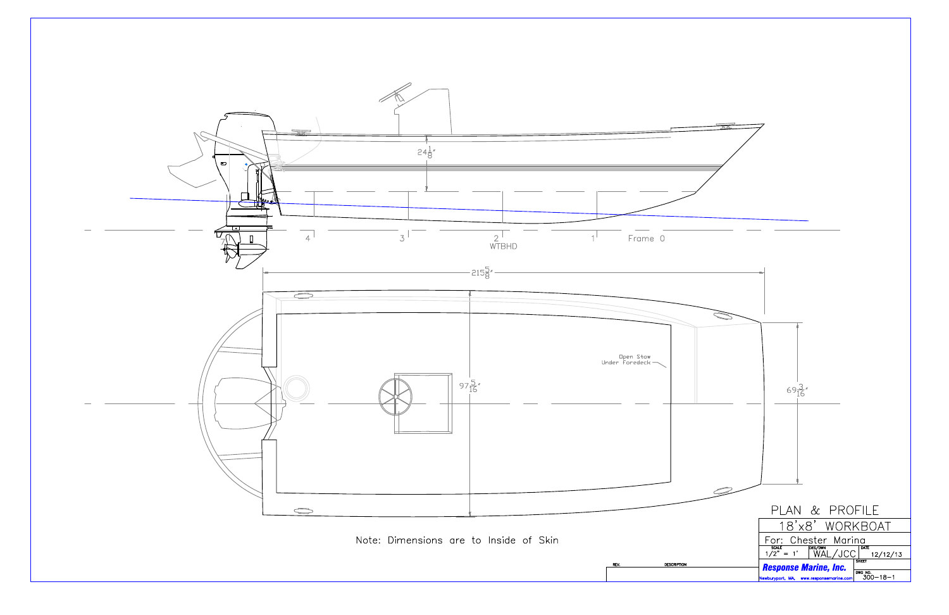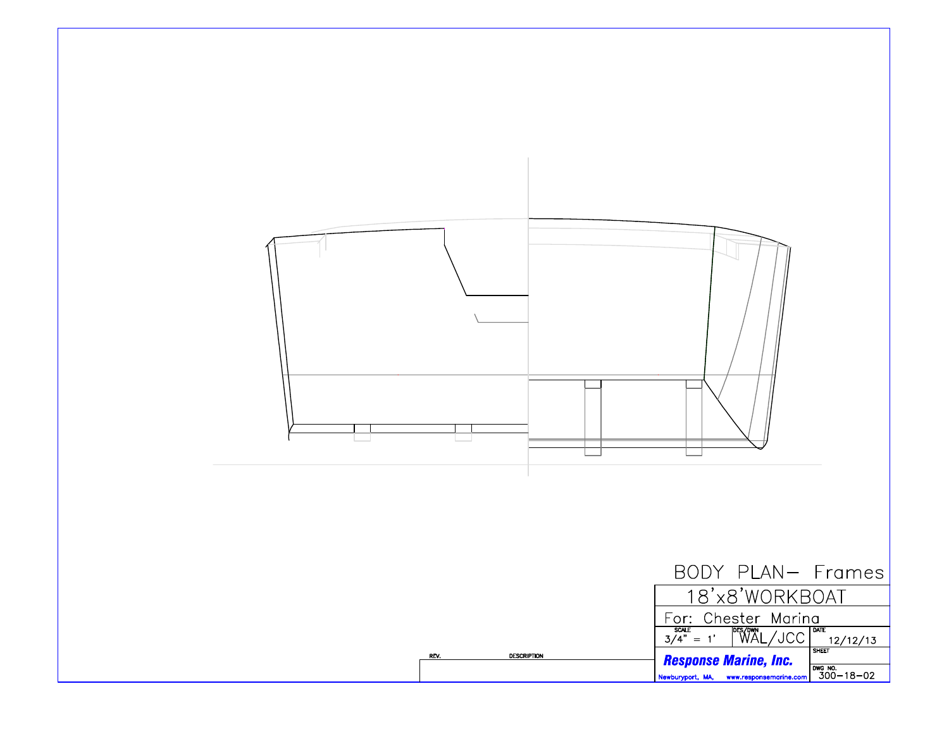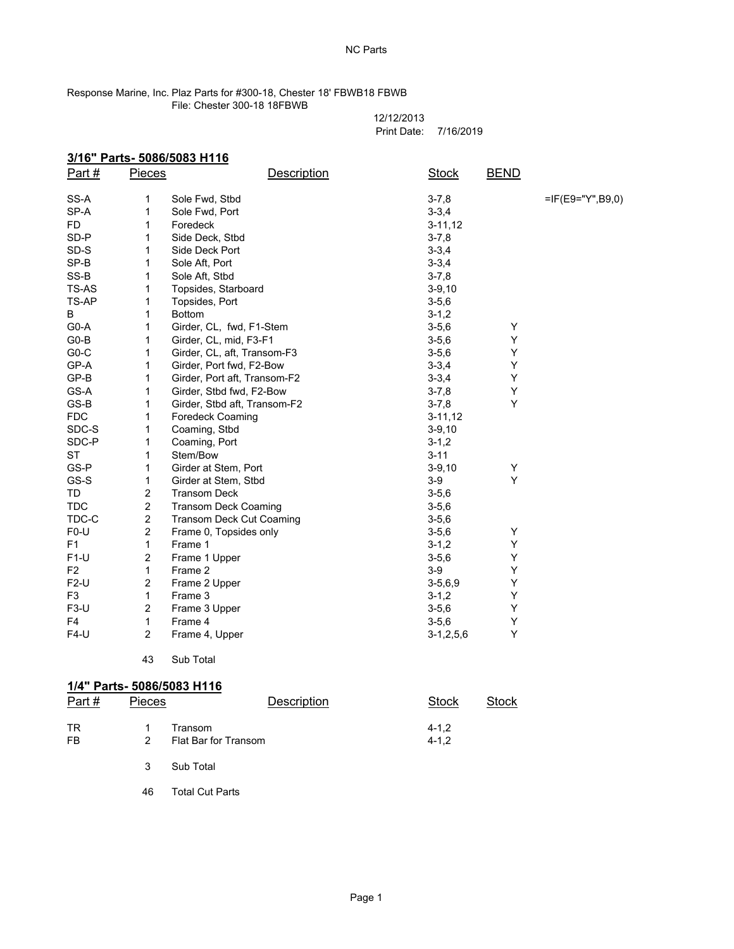NC Parts

## Response Marine, Inc. Plaz Parts for #300-18, Chester 18' FBWB18 FBWB File: Chester 300-18 18FBWB

12/12/2013 Print Date: 7/16/2019

 $3-7,8$  =IF(E9="Y",B9,0)

|       |               | 3/16" Parts- 5086/5083 H116 |             |             |             |
|-------|---------------|-----------------------------|-------------|-------------|-------------|
| Part# | <b>Pieces</b> |                             | Description | Stock       | <b>BEND</b> |
|       |               |                             |             |             |             |
| SS-A  |               | Sole Fwd. Stbd              |             | $3 - 7.8$   |             |
| SP-A  |               | Sole Fwd. Port              |             | $3 - 3.4$   |             |
| FD.   |               | Foredeck                    |             | $3 - 11.12$ |             |
| SD-P  |               | Side Deck, Stbd             |             | $3 - 7.8$   |             |
| SD-S  |               | Side Deck Port              |             | $3 - 3.4$   |             |
| -- -  |               |                             |             | - - -       |             |

|                | 43             | Sub Total                       |                |   |  |
|----------------|----------------|---------------------------------|----------------|---|--|
| $F4-U$         | $\overline{2}$ | Frame 4, Upper                  | $3-1, 2, 5, 6$ | Y |  |
| F4             | $\mathbf{1}$   | Frame 4                         | $3 - 5, 6$     | Y |  |
| $F3-U$         | $\overline{c}$ | Frame 3 Upper                   | $3 - 5, 6$     | Y |  |
| F <sub>3</sub> | $\mathbf{1}$   | Frame 3                         | $3 - 1, 2$     | Y |  |
| $F2-U$         | 2              | Frame 2 Upper                   | $3 - 5, 6, 9$  | Y |  |
| F <sub>2</sub> | 1              | Frame 2                         | $3-9$          | Y |  |
| $F1-U$         | $\overline{c}$ | Frame 1 Upper                   | $3 - 5.6$      | Y |  |
| F <sub>1</sub> | $\mathbf{1}$   | Frame 1                         | $3 - 1, 2$     | Y |  |
| $F0-U$         | $\overline{c}$ | Frame 0, Topsides only          | $3 - 5, 6$     | Y |  |
| TDC-C          | $\sqrt{2}$     | <b>Transom Deck Cut Coaming</b> | $3 - 5, 6$     |   |  |
| <b>TDC</b>     | $\overline{c}$ | <b>Transom Deck Coaming</b>     | $3 - 5,6$      |   |  |
| TD             | $\overline{c}$ | <b>Transom Deck</b>             | $3 - 5, 6$     |   |  |
| GS-S           | 1              | Girder at Stem, Stbd            | $3-9$          | Y |  |
| GS-P           | 1              | Girder at Stem, Port            | $3 - 9, 10$    | Υ |  |
| ST             | 1              | Stem/Bow                        | $3 - 11$       |   |  |
| SDC-P          | 1              | Coaming, Port                   | $3 - 1, 2$     |   |  |
| SDC-S          | 1              | Coaming, Stbd                   | $3-9,10$       |   |  |
| <b>FDC</b>     | 1              | Foredeck Coaming                | $3 - 11, 12$   |   |  |
| GS-B           | 1              | Girder, Stbd aft, Transom-F2    | $3 - 7, 8$     | Υ |  |
| GS-A           | 1              | Girder, Stbd fwd, F2-Bow        | $3 - 7,8$      | Υ |  |
| GP-B           | 1              | Girder, Port aft, Transom-F2    | $3 - 3, 4$     | Υ |  |
| GP-A           | 1              | Girder, Port fwd, F2-Bow        | $3 - 3, 4$     | Y |  |
| $G0-C$         | 1              | Girder, CL, aft, Transom-F3     | $3 - 5, 6$     | Y |  |
| $G0-B$         | 1              | Girder, CL, mid, F3-F1          | $3 - 5, 6$     | Y |  |
| G0-A           | 1              | Girder, CL, fwd, F1-Stem        | $3 - 5, 6$     | Y |  |
| В              | 1              | <b>Bottom</b>                   | $3 - 1, 2$     |   |  |
| TS-AP          | 1              | Topsides, Port                  | $3 - 5, 6$     |   |  |
| TS-AS          | 1              | Topsides, Starboard             | $3-9,10$       |   |  |
| SS-B           | 1              | Sole Aft, Stbd                  | $3 - 7,8$      |   |  |
| SP-B           | 1              | Sole Aft, Port                  | $3 - 3, 4$     |   |  |
| SD-S           | 1              | Side Deck Port<br>$3 - 3,4$     |                |   |  |
| SD-P           | 1              | Side Deck, Stbd                 | $3 - 7,8$      |   |  |
| FD.            | 1              | Foredeck                        | $3 - 11, 12$   |   |  |
| SP-A           | 1              | Sole Fwd, Port                  | $3 - 3, 4$     |   |  |

## **1/4" Parts- 5086/5083 H116**

| Part $#$ | <b>Pieces</b> | Description          | Stock     | Stock |
|----------|---------------|----------------------|-----------|-------|
| TR       |               | Transom              | $4 - 1.2$ |       |
| FB       | 2             | Flat Bar for Transom | $4 - 1.2$ |       |

3 Sub Total

46 Total Cut Parts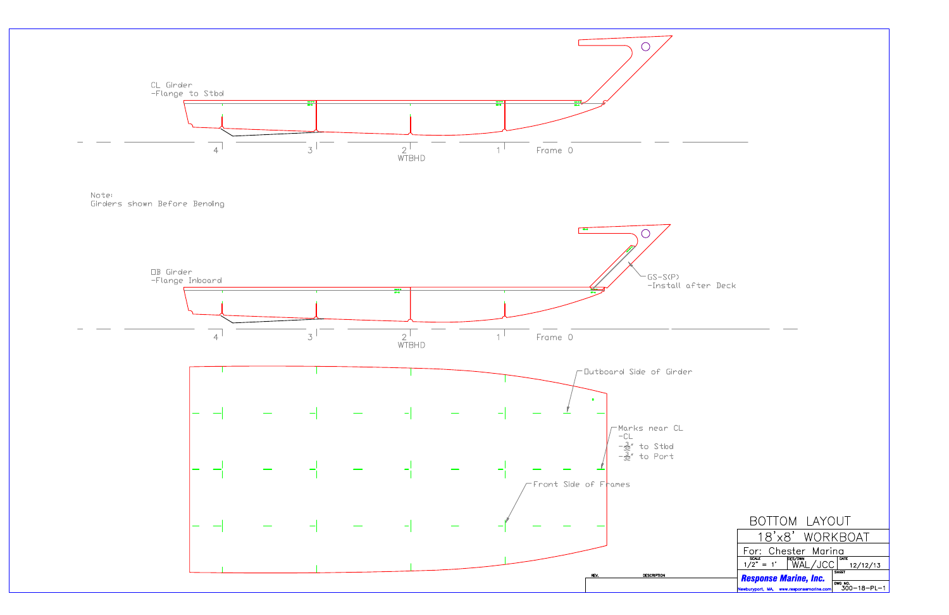

| BOTTOM LAYOUT                                                                                           |                                |  |  |  |
|---------------------------------------------------------------------------------------------------------|--------------------------------|--|--|--|
| 18'x8' WORKBOAT                                                                                         |                                |  |  |  |
| For: Chester Marina                                                                                     |                                |  |  |  |
| $\frac{\text{scale}}{1/2" = 1' \quad \text{WAL}/\text{JCC}}^{\text{DATE}} \frac{\text{DATE}}{12/12/13}$ |                                |  |  |  |
| <b>SHEET</b><br><b>Response Marine, Inc.</b>                                                            |                                |  |  |  |
| Newburyport, MA, www.responsemarine.com                                                                 | DWG NO.<br>$300 - 18 - PL - 1$ |  |  |  |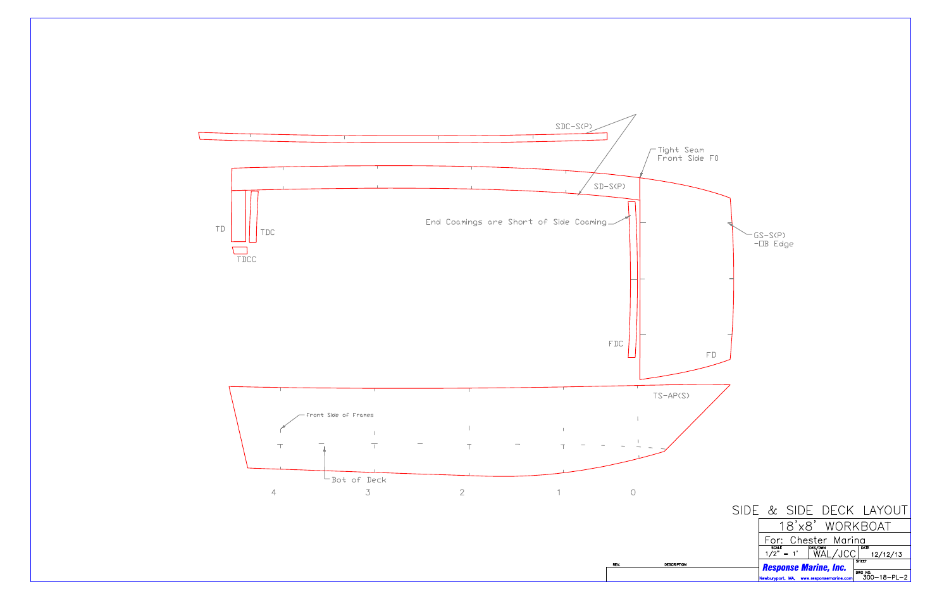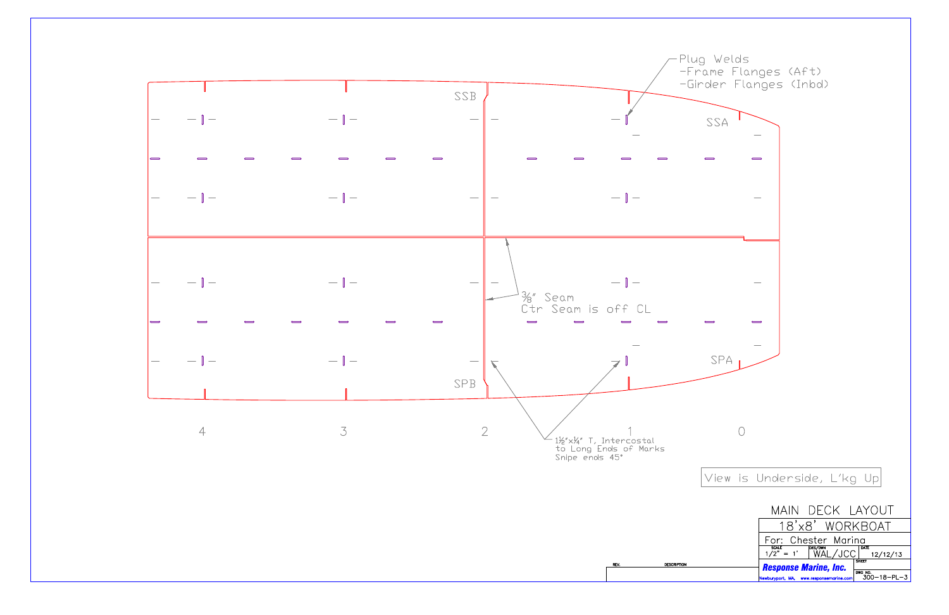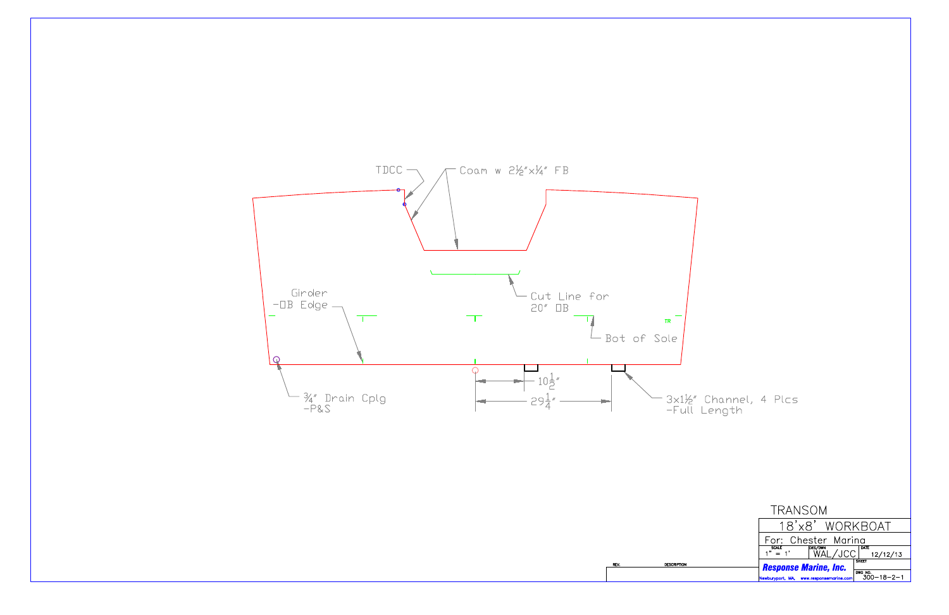

∙3x1½″ Channel, 4 Plcs<br>−Full Length

| TRANSOM                                                |                    |  |                               |
|--------------------------------------------------------|--------------------|--|-------------------------------|
|                                                        |                    |  | 18'x8' WORKBOAT               |
| For: Chester Marina                                    |                    |  |                               |
| $\overline{\text{SCALE}}$<br>$\overline{\text{SCALE}}$ | DES/DWN<br>WAL/JCC |  | DATE<br>12/12/13              |
| <b>Response Marine, Inc.</b>                           |                    |  | <b>SHEET</b>                  |
| Newburyport, MA, www.responsemarine.com                |                    |  | DWG NO.<br>$300 - 18 - 2 - 1$ |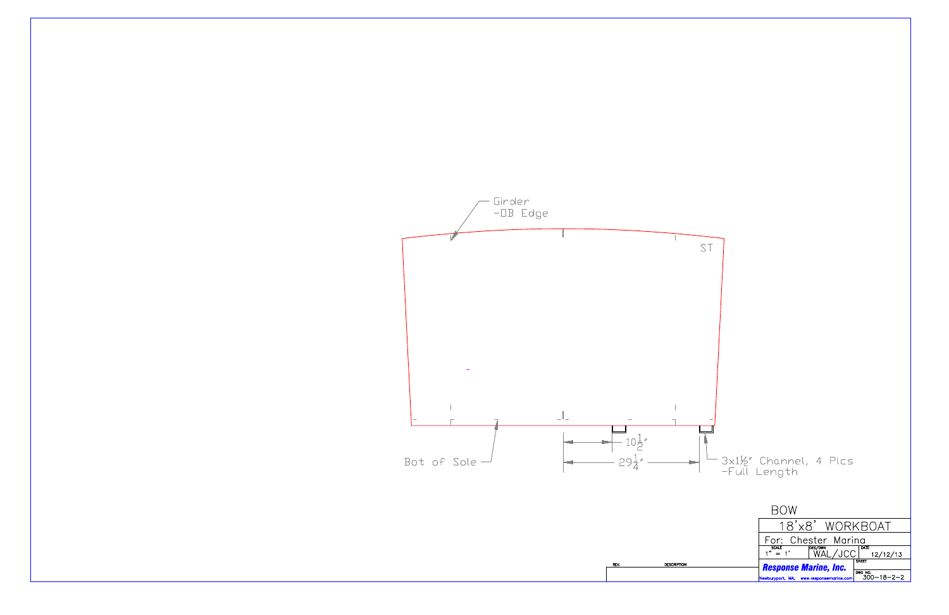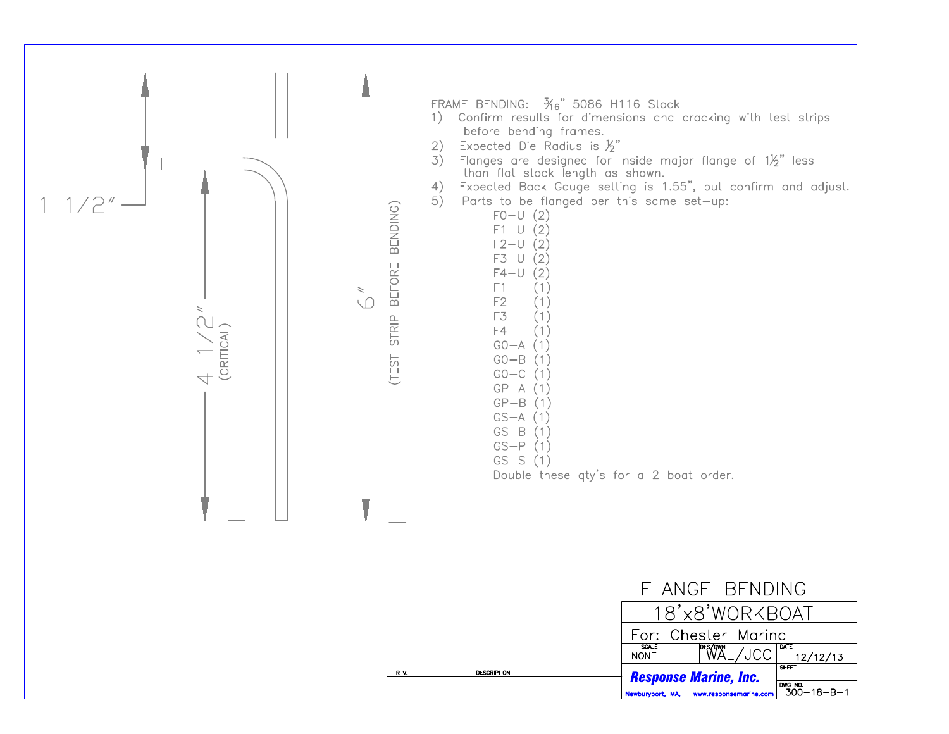